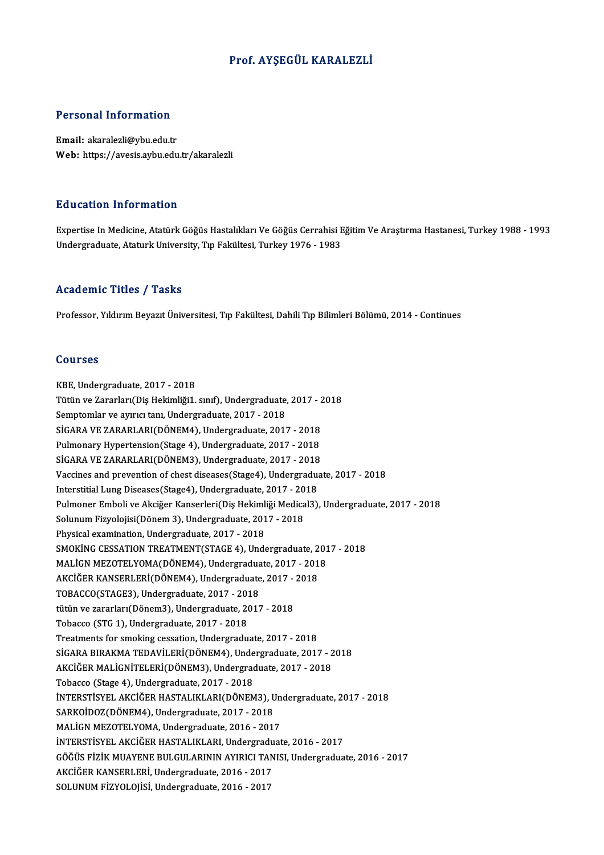## Prof. AYŞEGÜL KARALEZLİ

## Personal Information

Email: akaralezli@ybu.edu.tr Web: https://avesis.aybu.edu.tr/akaralezli

## Education Information

E**ducation Information**<br>Expertise In Medicine, Atatürk Göğüs Hastalıkları Ve Göğüs Cerrahisi Eğitim Ve Araştırma Hastanesi, Turkey 1988 - 1993<br>Undergraduate Ataturk University Tın Fakültesi Turkey 1976 - 1993 undergraf Tittet inderen<br>Expertise In Medicine, Atatürk Göğüs Hastalıkları Ve Göğüs Cerrahisi E<br>Undergraduate, Ataturk University, Tıp Fakültesi, Turkey 1976 - 1983 Undergraduate, Ataturk University, Tıp Fakültesi, Turkey 1976 - 1983<br>Academic Titles / Tasks

Professor, Yıldırım Beyazıt Üniversitesi, Tıp Fakültesi, Dahili Tıp Bilimleri Bölümü, 2014 - Continues

### Courses

KBE, Undergraduate, 2017 - 2018 UUUTUUS<br>KBE, Undergraduate, 2017 - 2018<br>Tütün ve Zararları(Diş Hekimliği1. sınıf), Undergraduate, 2017 - 2018<br>Semptemlar ve ayırısı tapı Undergraduate, 2017 - 2019 Semptomlar ve ayırıcı tanı, Undergraduate, 2017 - 2018<br>SİGARA VE ZARARLARI(DÖNEM4), Undergraduate, 2017 - 2018 Tütün ve Zararları(Diş Hekimliği1. sınıf), Undergraduate, 2017 - 2<br>Semptomlar ve ayırıcı tanı, Undergraduate, 2017 - 2018<br>SİGARA VE ZARARLARI(DÖNEM4), Undergraduate, 2017 - 2018<br>Bulmanary Hynortonsian(Stage 4), Undergradua Pulmonary Hypertension(Stage 4), Undergraduate, 2017 - 2018 SİGARA VE ZARARLARI(DÖNEM4), Undergraduate, 2017 - 2018<br>Pulmonary Hypertension(Stage 4), Undergraduate, 2017 - 2018<br>SİGARA VE ZARARLARI(DÖNEM3), Undergraduate, 2017 - 2018<br>Vessines and prevention of shest diseases(Stage), Vaccines and prevention of chest diseases(Stage4), Undergraduate, 2017 - 2018<br>Interstitial Lung Diseases(Stage4), Undergraduate, 2017 - 2018 SİGARA VE ZARARLARI(DÖNEM3), Undergraduate, 2017 - 2018<br>Vaccines and prevention of chest diseases(Stage4), Undergraduate, 2017 - 2018<br>Interstitial Lung Diseases(Stage4), Undergraduate, 2017 - 2018<br>Pulmanar Embeli ve Aksiže Vaccines and prevention of chest diseases(Stage4), Undergraduate, 2017 - 2018<br>Interstitial Lung Diseases(Stage4), Undergraduate, 2017 - 2018<br>Pulmoner Emboli ve Akciğer Kanserleri(Diş Hekimliği Medical3), Undergraduate, 201 Interstitial Lung Diseases(Stage4), Undergraduate, 2017 - 20<br>Pulmoner Emboli ve Akciğer Kanserleri(Diş Hekimliği Medica<br>Solunum Fizyolojisi(Dönem 3), Undergraduate, 2017 - 2018<br>Physical avemination Undergraduate, 2017 - 20 Pulmoner Emboli ve Akciğer Kanserleri(Diş Hekiml<br>Solunum Fizyolojisi(Dönem 3), Undergraduate, 201<br>Physical examination, Undergraduate, 2017 - 2018<br>SMOVING GESSATION TREATMENT(STACE 4), Unde Solunum Fizyolojisi(Dönem 3), Undergraduate, 2017 - 2018<br>Physical examination, Undergraduate, 2017 - 2018<br>SMOKİNG CESSATION TREATMENT(STAGE 4), Undergraduate, 2017 - 2018<br>MALİCN MEZOTELYOMA(DÖNEMA), Undergraduate, 2017 - 2 Physical examination, Undergraduate, 2017 - 2018<br>SMOKİNG CESSATION TREATMENT(STAGE 4), Undergraduate, 201<br>MALİGN MEZOTELYOMA(DÖNEM4), Undergraduate, 2017 - 2018<br>AKÇİĞER KANSERLERİ(DÖNEM4), Undergraduate, 2017 - 2019 SMOKİNG CESSATION TREATMENT(STAGE 4), Undergraduate, 2<br>MALİGN MEZOTELYOMA(DÖNEM4), Undergraduate, 2017 - 201<br>AKCİĞER KANSERLERİ(DÖNEM4), Undergraduate, 2017 - 2018<br>TOBACCO(STACE2), Undergraduate, 2017 - 2019 MALİGN MEZOTELYOMA(DÖNEM4), Undergradua<br>AKCİĞER KANSERLERİ(DÖNEM4), Undergraduate<br>TOBACCO(STAGE3), Undergraduate, 2017 - 2018<br>tütün ve gararları(Dönem<sup>2),</sup> Undergraduate, 2013 AKCİĞER KANSERLERİ(DÖNEM4), Undergraduate, 2017 - 2018<br>TOBACCO(STAGE3), Undergraduate, 2017 - 2018<br>tütün ve zararları(Dönem3), Undergraduate, 2017 - 2018<br>Tobacco (STG 1), Undergraduate, 2017 - 2018 TOBACCO(STAGE3), Undergraduate, 2017 - 2013<br>tütün ve zararları(Dönem3), Undergraduate, 20<br>Tobacco (STG 1), Undergraduate, 2017 - 2018<br>Trestments for smoling sessation, Undergradu Treatments for smoking cessation,Undergraduate,2017 -2018 SİGARA BIRAKMA TEDAVİLERİ(DÖNEM4), Undergraduate, 2017 - 2018 Treatments for smoking cessation, Undergraduate, 2017 - 2018<br>SİGARA BIRAKMA TEDAVİLERİ(DÖNEM4), Undergraduate, 2017 - 2<br>AKCİĞER MALİGNİTELERİ(DÖNEM3), Undergraduate, 2017 - 2018<br>Tebasse (Stage 4), Undergraduate, 2017 - 201 SİGARA BIRAKMA TEDAVİLERİ(DÖNEM4), Unde<br>AKCİĞER MALİGNİTELERİ(DÖNEM3), Undergrad<br>Tobacco (Stage 4), Undergraduate, 2017 - 2018<br>İNTERSTİSVEL AKCİĞER HASTALIKLARI(DÖNEM AKCİĞER MALİGNİTELERİ(DÖNEM3), Undergraduate, 2017 - 2018<br>Tobacco (Stage 4), Undergraduate, 2017 - 2018<br>İNTERSTİSYEL AKCİĞER HASTALIKLARI(DÖNEM3), Undergraduate, 2017 - 2018<br>SARKOİDOZ(DÖNEM4), Undergraduate, 2017 - 2019 Tobacco (Stage 4), Undergraduate, 2017 - 2018<br>İNTERSTİSYEL AKCİĞER HASTALIKLARI(DÖNEM3), U<br>SARKOİDOZ(DÖNEM4), Undergraduate, 2017 - 2018<br>MALİCN MEZOTELYOMA, Undergraduate, 2016 - 2017 SARKOİDOZ(DÖNEM4), Undergraduate, 2017 - 2018<br>MALİGN MEZOTELYOMA, Undergraduate, 2016 - 2017 SARKOİDOZ(DÖNEM4), Undergraduate, 2017 - 2018<br>MALİGN MEZOTELYOMA, Undergraduate, 2016 - 2017<br>İNTERSTİSYEL AKCİĞER HASTALIKLARI, Undergraduate, 2016 - 2017<br>ÇÖĞÜS FİZİK MILAYENE PILLCIL APININ AYIPICI TANISL Undergradua GÖĞÜS FİZİK MUAYENE BULGULARININ AYIRICI TANISI, Undergraduate, 2016 - 2017<br>AKCİĞER KANSERLERİ, Undergraduate, 2016 - 2017 İNTERSTİSYEL AKCİĞER HASTALIKLARI, Undergradu<br>GÖĞÜS FİZİK MUAYENE BULGULARININ AYIRICI TAN<br>AKCİĞER KANSERLERİ, Undergraduate, 2016 - 2017<br>SOLUNUM EİZVOLOUSL Undergraduate, 2016 - 2017 SOLUNUMFİZYOLOJİSİ,Undergraduate,2016 -2017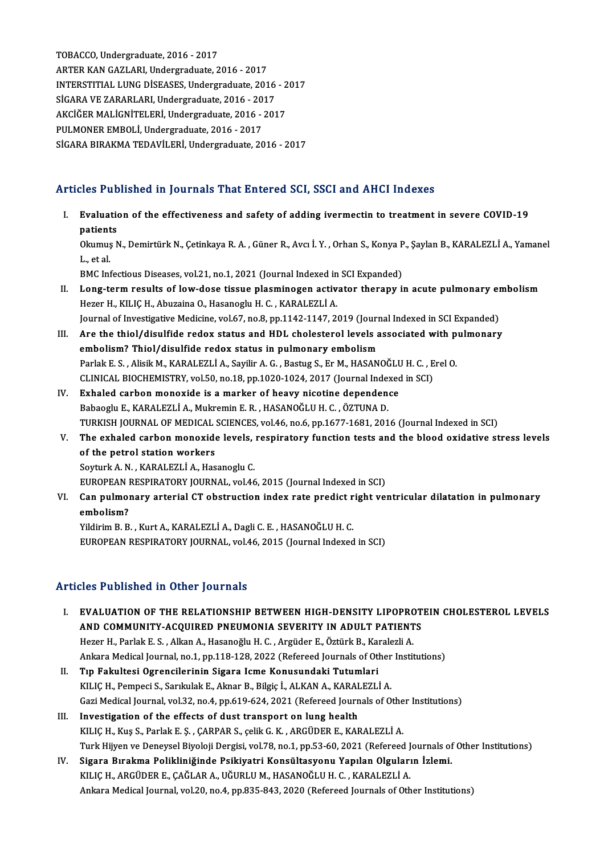TOBACCO, Undergraduate, 2016 - 2017 ARTERKANGAZLARI,Undergraduate,2016 -2017 TOBACCO, Undergraduate, 2016 - 2017<br>ARTER KAN GAZLARI, Undergraduate, 2016 - 2017<br>INTERSTITIAL LUNG DISEASES, Undergraduate, 2016 - 2017<br>SICARA VE ZARARI ARI Undergraduate, 2016 - 2017 ARTER KAN GAZLARI, Undergraduate, 2016 - 2017<br>INTERSTITIAL LUNG DISEASES, Undergraduate, 2016<br>SIGARA VE ZARARLARI, Undergraduate, 2016 - 2017<br>AKCIČER MALICNITELERI, Undergraduate, 2016 - 201 INTERSTITIAL LUNG DİSEASES, Undergraduate, 2016 - 2<br>SİGARA VE ZARARLARI, Undergraduate, 2016 - 2017<br>AKCİĞER MALİGNİTELERİ, Undergraduate, 2016 - 2017<br>PIJI MONER EMPOLİ, Undergraduate, 2016 - 2017 SİGARA VE ZARARLARI, Undergraduate, 2016 - 2017<br>AKCİĞER MALİGNİTELERİ, Undergraduate, 2016 - 2017<br>PULMONER EMBOLİ, Undergraduate, 2016 - 2017 SİGARA BIRAKMA TEDAVİLERİ, Undergraduate, 2016 - 2017

# Articles Published in Journals That Entered SCI, SSCI and AHCI Indexes

- I. Evaluation of the effectiveness and safety of adding ivermectin to treatment in severe COVID-19 patients<br>Patients<br>Playwee Evaluation of the effectiveness and safety of adding ivermectin to treatment in severe COVID-19<br>patients<br>Okumuş N., Demirtürk N., Çetinkaya R. A. , Güner R., Avcı İ. Y. , Orhan S., Konya P., Şaylan B., KARALEZLİ A., Yamane **patient<br>Okumuş<br>L., et al.<br>PMC Inf** Okumuş N., Demirtürk N., Çetinkaya R. A. , Güner R., Avcı İ. Y. , Orhan S., Konya P<br>L., et al.<br>BMC Infectious Diseases, vol.21, no.1, 2021 (Journal Indexed in SCI Expanded)<br>Long term nosulta of lour does tissue pleaminosen L., et al.<br>BMC Infectious Diseases, vol.21, no.1, 2021 (Journal Indexed in SCI Expanded)<br>II. Long-term results of low-dose tissue plasminogen activator therapy in acute pulmonary embolism<br>Hore H. KU IC H. Abursine O. H BMC Infectious Diseases, vol.21, no.1, 2021 (Journal Indexed in SCI Expanded)<br>Long-term results of low-dose tissue plasminogen activator therapy in acute pulmonary e:<br>Hezer H., KILIÇ H., Abuzaina O., Hasanoglu H. C., KARAL Long-term results of low-dose tissue plasminogen activator therapy in acute pulmonary en<br>Hezer H., KILIÇ H., Abuzaina O., Hasanoglu H. C. , KARALEZLİ A.<br>Journal of Investigative Medicine, vol.67, no.8, pp.1142-1147, 2019 ( Hezer H., KILIÇ H., Abuzaina O., Hasanoglu H. C. , KARALEZLİ A.<br>Journal of Investigative Medicine, vol.67, no.8, pp.1142-1147, 2019 (Journal Indexed in SCI Expanded)<br>III. Are the thiol/disulfide redox status and HDL choles Journal of Investigative Medicine, vol.67, no.8, pp.1142-1147, 2019 (Journ<br>Are the thiol/disulfide redox status and HDL cholesterol levels a<br>embolism? Thiol/disulfide redox status in pulmonary embolism<br>Parlak E.S., Alisik Are the thiol/disulfide redox status and HDL cholesterol levels associated with p<br>embolism? Thiol/disulfide redox status in pulmonary embolism<br>Parlak E. S. , Alisik M., KARALEZLİ A., Sayilir A. G. , Bastug S., Er M., HASAN embolism? Thiol/disulfide redox status in pulmonary embolism<br>Parlak E. S., Alisik M., KARALEZLİ A., Sayilir A. G., Bastug S., Er M., HASANOĞLU H. C., Erel O. CLINICAL BIOCHEMISTRY, vol.50, no.18, pp.1020-1024, 2017 (Journal Indexed in SCI)
- IV. Exhaled carbon monoxide is a marker of heavy nicotine dependence<br>Babaoglu E., KARALEZLI A., Mukremin E. R., HASANOĞLU H. C., ÖZTUNA D. Exhaled carbon monoxide is a marker of heavy nicotine dependence<br>Babaoglu E., KARALEZLİ A., Mukremin E. R. , HASANOĞLU H. C. , ÖZTUNA D.<br>TURKISH JOURNAL OF MEDICAL SCIENCES, vol.46, no.6, pp.1677-1681, 2016 (Journal Indexe Babaoglu E., KARALEZLİ A., Mukremin E. R. , HASANOĞLU H. C. , ÖZTUNA D.<br>TURKISH JOURNAL OF MEDICAL SCIENCES, vol.46, no.6, pp.1677-1681, 2016 (Journal Indexed in SCI)<br>V. The exhaled carbon monoxide levels, respiratory func
- TURKISH JOURNAL OF MEDICAL<br>The exhaled carbon monoxide<br>of the petrol station workers The exhaled carbon monoxide levels,<br>of the petrol station workers<br>Soyturk A. N., KARALEZLİ A., Hasanoglu C.<br>FUROPEAN PESPIRATORY JOURNAL, vol.46 of the petrol station workers<br>Soyturk A. N. , KARALEZLİ A., Hasanoglu C.<br>EUROPEAN RESPIRATORY JOURNAL, vol.46, 2015 (Journal Indexed in SCI)<br>Can nulmanary artarial CT abstruction index rate predict right vol

Soyturk A. N. , KARALEZLİ A., Hasanoglu C.<br>EUROPEAN RESPIRATORY JOURNAL, vol.46, 2015 (Journal Indexed in SCI)<br>VI. Can pulmonary arterial CT obstruction index rate predict right ventricular dilatation in pulmonary<br>ombo EUROPEAN<br>Can pulmo:<br>embolism?<br><sup>Vildinim P. P.</sub></sup> Can pulmonary arterial CT obstruction index rate predict r<br>embolism?<br>Yildirim B. B. , Kurt A., KARALEZLİ A., Dagli C. E. , HASANOĞLU H. C.<br>EUROPEAN PESPIRATORY JOURNAL, vel 46, 2015 (Journal Indexed

embolism?<br>1990: Yildirim B. B. , Kurt A., KARALEZLİ A., Dagli C. E. , HASANOĞLU H. C.<br>1990: EUROPEAN RESPIRATORY JOURNAL, vol.46, 2015 (Journal Indexed in SCI)

# Articles Published in Other Journals

- I. EVALUATION OF THE RELATIONSHIP BETWEEN HIGH-DENSITY LIPOPROTEIN CHOLESTEROL LEVELS XXX I WOMONOW IN OTHET JOUTHUM<br>EVALUATION OF THE RELATIONSHIP BETWEEN HIGH-DENSITY LIPOPROT<br>AND COMMUNITY-ACQUIRED PNEUMONIA SEVERITY IN ADULT PATIENTS<br>Herer H. Berlak E.S., Allen A. Heseneğlu H.C., Argüder E. Örtürk B. Ke EVALUATION OF THE RELATIONSHIP BETWEEN HIGH-DENSITY LIPOPRO<br>AND COMMUNITY-ACQUIRED PNEUMONIA SEVERITY IN ADULT PATIENT<br>Hezer H., Parlak E. S. , Alkan A., Hasanoğlu H. C. , Argüder E., Öztürk B., Karalezli A.<br>Ankara Madisal Hezer H., Parlak E. S. , Alkan A., Hasanoğlu H. C. , Argüder E., Öztürk B., Karalezli A.<br>Ankara Medical Journal, no.1, pp.118-128, 2022 (Refereed Journals of Other Institutions) Hezer H., Parlak E. S. , Alkan A., Hasanoğlu H. C. , Argüder E., Öztürk B., Kar<br>Ankara Medical Journal, no.1, pp.118-128, 2022 (Refereed Journals of Otl<br>II. Tıp Fakultesi Ogrencilerinin Sigara Icme Konusundaki Tutumlari<br>KU Ankara Medical Journal, no.1, pp.118-128, 2022 (Refereed Journals of Other<br>Tıp Fakultesi Ogrencilerinin Sigara Icme Konusundaki Tutumlari<br>KILIÇ H., Pempeci S., Sarıkulak E., Aknar B., Bilgiç İ., ALKAN A., KARALEZLİ A.<br>Cari
- Tıp Fakultesi Ogrencilerinin Sigara Icme Konusundaki Tutumlari<br>KILIÇ H., Pempeci S., Sarıkulak E., Aknar B., Bilgiç İ., ALKAN A., KARALEZLİ A.<br>Gazi Medical Journal, vol.32, no.4, pp.619-624, 2021 (Refereed Journals of Othe KILIÇ H., Pempeci S., Sarıkulak E., Aknar B., Bilgiç İ., ALKAN A., KARALEZLİ A.<br>Gazi Medical Journal, vol.32, no.4, pp.619-624, 2021 (Refereed Journals of Othe<br>III. Investigation of the effects of dust transport on lung he
- Gazi Medical Journal, vol.32, no.4, pp.619-624, 2021 (Refereed Journals of Othe<br>Investigation of the effects of dust transport on lung health<br>KILIÇ H., Kuş S., Parlak E. Ş. , ÇARPAR S., çelik G. K. , ARGÜDER E., KARALEZLİ Turk Hijyen ve Deneysel Biyoloji Dergisi, vol.78, no.1, pp.53-60, 2021 (Refereed Journals of Other Institutions) KILIÇ H., Kuş S., Parlak E. Ş. , ÇARPAR S., çelik G. K. , ARGÜDER E., KARALEZLİ A.<br>Turk Hijyen ve Deneysel Biyoloji Dergisi, vol.78, no.1, pp.53-60, 2021 (Refereed Journals of<br>IV. Sigara Bırakma Polikliniğinde Psikiyatri K
- Turk Hijyen ve Deneysel Biyoloji Dergisi, vol.78, no.1, pp.53-60, 2021 (Refereed J<br>Sigara Bırakma Polikliniğinde Psikiyatri Konsültasyonu Yapılan Olguları<br>KILIÇ H., ARGÜDER E., ÇAĞLAR A., UĞURLU M., HASANOĞLU H. C. , KARAL Sigara Bırakma Polikliniğinde Psikiyatri Konsültasyonu Yapılan Olguların İzlemi.<br>KILIÇ H., ARGÜDER E., ÇAĞLAR A., UĞURLU M., HASANOĞLU H. C. , KARALEZLİ A.<br>Ankara Medical Journal, vol.20, no.4, pp.835-843, 2020 (Refereed J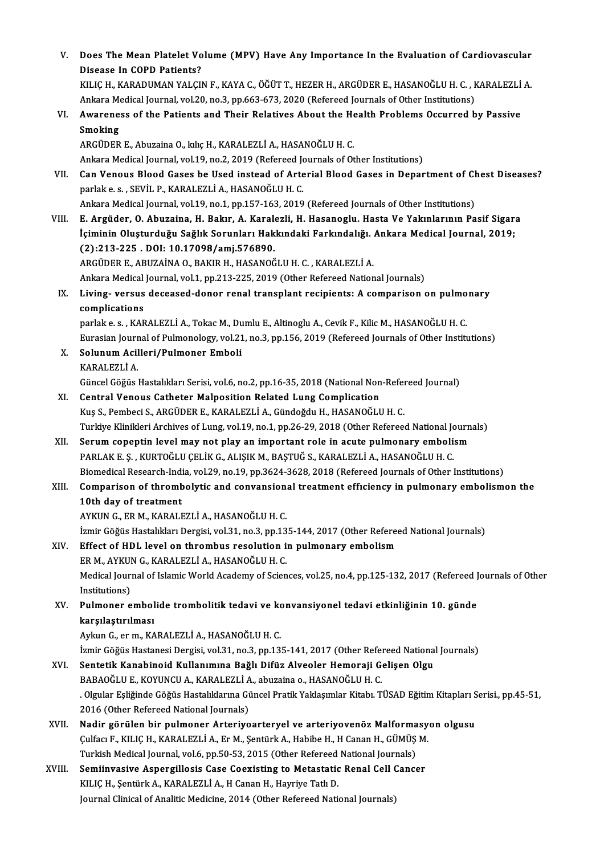| V.     | Does The Mean Platelet Volume (MPV) Have Any Importance In the Evaluation of Cardiovascular                                                                                                                |
|--------|------------------------------------------------------------------------------------------------------------------------------------------------------------------------------------------------------------|
|        | Disease In COPD Patients?                                                                                                                                                                                  |
|        | KILIÇ H., KARADUMAN YALÇIN F., KAYA C., ÖĞÜT T., HEZER H., ARGÜDER E., HASANOĞLU H. C. , KARALEZLİ A.                                                                                                      |
|        | Ankara Medical Journal, vol.20, no.3, pp.663-673, 2020 (Refereed Journals of Other Institutions)                                                                                                           |
| VI.    | Awareness of the Patients and Their Relatives About the Health Problems Occurred by Passive                                                                                                                |
|        | Smoking                                                                                                                                                                                                    |
|        | ARGÜDER E., Abuzaina O., kılıç H., KARALEZLİ A., HASANOĞLU H. C.                                                                                                                                           |
|        | Ankara Medical Journal, vol.19, no.2, 2019 (Refereed Journals of Other Institutions)                                                                                                                       |
| VII.   | Can Venous Blood Gases be Used instead of Arterial Blood Gases in Department of Chest Diseases?                                                                                                            |
|        | parlak e. s., SEVİL P., KARALEZLİ A., HASANOĞLU H. C.                                                                                                                                                      |
|        | Ankara Medical Journal, vol.19, no.1, pp.157-163, 2019 (Refereed Journals of Other Institutions)                                                                                                           |
| VIII.  | E. Argüder, O. Abuzaina, H. Bakır, A. Karalezli, H. Hasanoglu. Hasta Ve Yakınlarının Pasif Sigara                                                                                                          |
|        | İçiminin Oluşturduğu Sağlık Sorunları Hakkındaki Farkındalığı. Ankara Medical Journal, 2019;                                                                                                               |
|        | (2):213-225 DOI: 10.17098/amj.576890.                                                                                                                                                                      |
|        | ARGÜDER E., ABUZAİNA O., BAKIR H., HASANOĞLU H. C., KARALEZLİ A.                                                                                                                                           |
|        | Ankara Medical Journal, vol.1, pp.213-225, 2019 (Other Refereed National Journals)                                                                                                                         |
| IX.    | Living- versus deceased-donor renal transplant recipients: A comparison on pulmonary                                                                                                                       |
|        | complications                                                                                                                                                                                              |
|        | parlak e. s., KARALEZLİ A., Tokac M., Dumlu E., Altinoglu A., Cevik F., Kilic M., HASANOĞLU H. C.<br>Eurasian Journal of Pulmonology, vol.21, no.3, pp.156, 2019 (Refereed Journals of Other Institutions) |
| Х.     | Solunum Acilleri/Pulmoner Emboli                                                                                                                                                                           |
|        | KARALEZLİ A.                                                                                                                                                                                               |
|        | Güncel Göğüs Hastalıkları Serisi, vol.6, no.2, pp.16-35, 2018 (National Non-Refereed Journal)                                                                                                              |
| XI.    | <b>Central Venous Catheter Malposition Related Lung Complication</b>                                                                                                                                       |
|        | Kuş S., Pembeci S., ARGÜDER E., KARALEZLİ A., Gündoğdu H., HASANOĞLU H. C.                                                                                                                                 |
|        | Turkiye Klinikleri Archives of Lung, vol.19, no.1, pp.26-29, 2018 (Other Refereed National Journals)                                                                                                       |
| XII.   | Serum copeptin level may not play an important role in acute pulmonary embolism                                                                                                                            |
|        | PARLAK E. Ş., KURTOĞLU ÇELİK G., ALIŞIK M., BAŞTUĞ S., KARALEZLİ A., HASANOĞLU H. C.                                                                                                                       |
|        | Biomedical Research-India, vol.29, no.19, pp.3624-3628, 2018 (Refereed Journals of Other Institutions)                                                                                                     |
| XIII.  | Comparison of thrombolytic and convansional treatment efficiency in pulmonary embolismon the                                                                                                               |
|        | 10th day of treatment                                                                                                                                                                                      |
|        | AYKUN G., ER M., KARALEZLİ A., HASANOĞLU H. C.                                                                                                                                                             |
|        | İzmir Göğüs Hastalıkları Dergisi, vol.31, no.3, pp.135-144, 2017 (Other Refereed National Journals)                                                                                                        |
| XIV.   | Effect of HDL level on thrombus resolution in pulmonary embolism                                                                                                                                           |
|        | ER M., AYKUN G., KARALEZLİ A., HASANOĞLU H. C.                                                                                                                                                             |
|        | Medical Journal of Islamic World Academy of Sciences, vol.25, no.4, pp.125-132, 2017 (Refereed Journals of Other                                                                                           |
|        | Institutions)                                                                                                                                                                                              |
| XV.    | Pulmoner embolide trombolitik tedavi ve konvansiyonel tedavi etkinliğinin 10. günde                                                                                                                        |
|        | karşılaştırılması<br>Aykun G., er m., KARALEZLİ A., HASANOĞLU H. C.                                                                                                                                        |
|        | İzmir Göğüs Hastanesi Dergisi, vol.31, no.3, pp.135-141, 2017 (Other Refereed National Journals)                                                                                                           |
| XVI.   | Sentetik Kanabinoid Kullanımına Bağlı Difüz Alveoler Hemoraji Gelişen Olgu                                                                                                                                 |
|        | BABAOĞLU E., KOYUNCU A., KARALEZLİ A., abuzaina o., HASANOĞLU H. C.                                                                                                                                        |
|        | . Olgular Eşliğinde Göğüs Hastalıklarına Güncel Pratik Yaklaşımlar Kitabı. TÜSAD Eğitim Kitapları Serisi., pp.45-51,                                                                                       |
|        | 2016 (Other Refereed National Journals)                                                                                                                                                                    |
| XVII.  | Nadir görülen bir pulmoner Arteriyoarteryel ve arteriyovenöz Malformasyon olgusu                                                                                                                           |
|        | Çulfacı F., KILIÇ H., KARALEZLİ A., Er M., Şentürk A., Habibe H., H Canan H., GÜMÜŞ M.                                                                                                                     |
|        | Turkish Medical Journal, vol.6, pp.50-53, 2015 (Other Refereed National Journals)                                                                                                                          |
| XVIII. | Semiinvasive Aspergillosis Case Coexisting to Metastatic Renal Cell Cancer                                                                                                                                 |
|        | KILIÇ H., Şentürk A., KARALEZLİ A., H Canan H., Hayriye Tatlı D.                                                                                                                                           |
|        | Journal Clinical of Analitic Medicine, 2014 (Other Refereed National Journals)                                                                                                                             |
|        |                                                                                                                                                                                                            |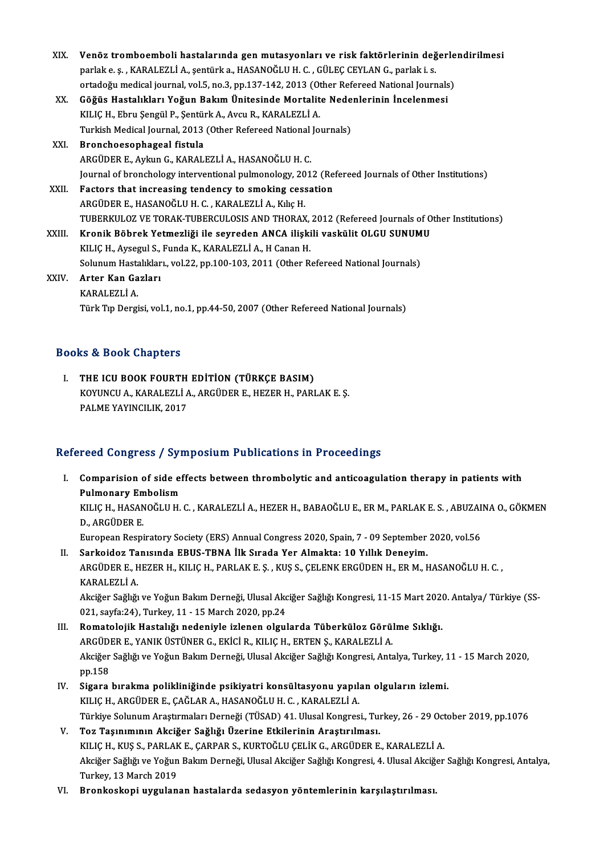| XIX.   | Venöz tromboemboli hastalarında gen mutasyonları ve risk faktörlerinin değerlendirilmesi          |
|--------|---------------------------------------------------------------------------------------------------|
|        | parlak e. ş., KARALEZLİ A., şentürk a., HASANOĞLU H. C., GÜLEÇ CEYLAN G., parlak i. s.            |
|        | ortadoğu medical journal, vol.5, no.3, pp.137-142, 2013 (Other Refereed National Journals)        |
| XX.    | Göğüs Hastalıkları Yoğun Bakım Ünitesinde Mortalite Nedenlerinin İncelenmesi                      |
|        | KILIÇ H., Ebru Şengül P., Şentürk A., Avcu R., KARALEZLİ A.                                       |
|        | Turkish Medical Journal, 2013 (Other Refereed National Journals)                                  |
| XXI.   | Bronchoesophageal fistula                                                                         |
|        | ARGÜDER E., Aykun G., KARALEZLİ A., HASANOĞLU H. C.                                               |
|        | Journal of bronchology interventional pulmonology, 2012 (Refereed Journals of Other Institutions) |
| XXII.  | Factors that increasing tendency to smoking cessation                                             |
|        | ARGÜDER E., HASANOĞLU H. C., KARALEZLİ A., Kılıç H.                                               |
|        | TUBERKULOZ VE TORAK-TUBERCULOSIS AND THORAX, 2012 (Refereed Journals of Other Institutions)       |
| XXIII. | Kronik Böbrek Yetmezliği ile seyreden ANCA ilişkili vaskülit OLGU SUNUMU                          |
|        | KILIÇ H., Aysegul S., Funda K., KARALEZLİ A., H Canan H.                                          |
|        | Solunum Hastalıkları., vol.22, pp.100-103, 2011 (Other Refereed National Journals)                |
| XXIV.  | Arter Kan Gazları                                                                                 |
|        | KARALEZLİ A.                                                                                      |
|        | Türk Tip Dergisi, vol.1, no.1, pp.44-50, 2007 (Other Refereed National Journals)                  |

## Books&Book Chapters

OOks & Book Chapters<br>I. THE ICU BOOK FOURTH EDITION (TÜRKÇE BASIM)<br>KOVUNCU A KARALEZLİ A ARÇÜDER E HEZER H. BARI KOYUNCU A., KARALEZLİ A., ARGÜDER E., HEZER H., PARLAK E. Ş.<br>PALME YAYINCILIK. 2017 THE ICU BOOK FOURTH<br>KOYUNCU A., KARALEZLÌ A<br>PALME YAYINCILIK, 2017

## Refereed Congress / Symposium Publications in Proceedings

I. Comparision of side effects between thrombolytic and anticoagulation therapy in patients with **COMMON COMMON<br>Comparision of side ef<br>Pulmonary Embolism<br>VILLC H. HASANOČI ILH** Comparision of side effects between thrombolytic and anticoagulation therapy in patients with<br>Pulmonary Embolism<br>KILIÇ H., HASANOĞLU H. C. , KARALEZLİ A., HEZER H., BABAOĞLU E., ER M., PARLAK E. S. , ABUZAINA O., GÖKMEN<br>D. Pul<mark>monary En</mark><br>KILIÇ H., HASAN<br>D., ARGÜDER E.<br>Euroneen Beeni KILIÇ H., HASANOĞLU H. C. , KARALEZLİ A., HEZER H., BABAOĞLU E., ER M., PARLAK E. S. , ABUZAI<br>D., ARGÜDER E.<br>European Respiratory Society (ERS) Annual Congress 2020, Spain, 7 - 09 September 2020, vol.56<br>Sarkaidar Tanısında

- D., ARGÜDER E.<br>European Respiratory Society (ERS) Annual Congress 2020, Spain, 7 09 September<br>II. Sarkoidoz Tanısında EBUS-TBNA İlk Sırada Yer Almakta: 10 Yıllık Deneyim.<br>APCÜDER E. HEZER H. KILIC H. BARLAKE S., KIS S. C European Respiratory Society (ERS) Annual Congress 2020, Spain, 7 - 09 September 2020, vol.56<br>Sarkoidoz Tanısında EBUS-TBNA İlk Sırada Yer Almakta: 10 Yıllık Deneyim.<br>ARGÜDER E., HEZER H., KILIÇ H., PARLAK E. Ş. , KUŞ S., II. Sarkoidoz Tanısında EBUS-TBNA İlk Sırada Yer Almakta: 10 Yıllık Deneyim.<br>ARGÜDER E., HEZER H., KILIÇ H., PARLAK E. Ş. , KUŞ S., ÇELENK ERGÜDEN H., ER M., HASANOĞLU H. C. ,<br>KARALEZLİ A. ARGÜDER E., HEZER H., KILIÇ H., PARLAK E. Ş. , KUŞ S., ÇELENK ERGÜDEN H., ER M., HASANOĞLU H. C. ,<br>KARALEZLİ A.<br>Akciğer Sağlığı ve Yoğun Bakım Derneği, Ulusal Akciğer Sağlığı Kongresi, 11-15 Mart 2020. Antalya/ Türkiye (SS KARALEZLİ A.<br>Akciğer Sağlığı ve Yoğun Bakım Derneği, Ulusal Akc<br>021, sayfa:24), Turkey, 11 - 15 March 2020, pp.24<br>Bomatalojik Hastalığı nadaniyle izlenen olayı Akciğer Sağlığı ve Yoğun Bakım Derneği, Ulusal Akciğer Sağlığı Kongresi, 11-15 Mart 2020<br>021, sayfa:24), Turkey, 11 - 15 March 2020, pp.24<br>III. Romatolojik Hastalığı nedeniyle izlenen olgularda Tüberküloz Görülme Sıklığı.<br>
- 021, sayfa:24), Turkey, 11 15 March 2020, pp.24<br>Romatolojik Hastalığı nedeniyle izlenen olgularda Tüberküloz Görül<br>ARGÜDER E., YANIK ÜSTÜNER G., EKİCİ R., KILIÇ H., ERTEN Ş., KARALEZLİ A.<br>Aksiğar Sağlığı ve Yoğun Balam D Romatolojik Hastalığı nedeniyle izlenen olgularda Tüberküloz Görülme Sıklığı.<br>ARGÜDER E., YANIK ÜSTÜNER G., EKİCİ R., KILIÇ H., ERTEN Ş., KARALEZLİ A.<br>Akciğer Sağlığı ve Yoğun Bakım Derneği, Ulusal Akciğer Sağlığı Kongresi ARGÜDER E., YANIK ÜSTÜNER G., EKİCİ R., KILIÇ H., ERTEN Ş., KARALEZLİ A.<br>Akciğer Sağlığı ve Yoğun Bakım Derneği, Ulusal Akciğer Sağlığı Kongresi, Antalya, Turkey, 1<br>pp.158<br>IV. Sigara bırakma polikliniğinde psikiyatri k Akciğer Sağlığı ve Yoğun Bakım Derneği, Ulusal Akciğer Sağlığı Kongresi, Antalya, Turkey, 1<br>pp.158<br>IV. Sigara bırakma polikliniğinde psikiyatri konsültasyonu yapılan olguların izlemi.<br>EU IC.H. ARCÜDER E. CAČLAR A. HASANOČL
- KILIÇH.,ARGÜDERE.,ÇAĞLARA.,HASANOĞLUH.C. ,KARALEZLİA. Sigara bırakma polikliniğinde psikiyatri konsültasyonu yapılan olguların izlemi.<br>KILIÇ H., ARGÜDER E., ÇAĞLAR A., HASANOĞLU H. C. , KARALEZLİ A.<br>Türkiye Solunum Araştırmaları Derneği (TÜSAD) 41. Ulusal Kongresi., Turkey, 2 KILIÇ H., ARGÜDER E., ÇAĞLAR A., HASANOĞLU H. C. , KARALEZLİ A.<br>Türkiye Solunum Araştırmaları Derneği (TÜSAD) 41. Ulusal Kongresi., Tu<br>V. Toz Taşınımının Akciğer Sağlığı Üzerine Etkilerinin Araştırılması.<br>V.U. IC H. VIS S.
- Türkiye Solunum Araştırmaları Derneği (TÜSAD) 41. Ulusal Kongresi., Turkey, 26 29 Oct<br>Toz Taşınımının Akciğer Sağlığı Üzerine Etkilerinin Araştırılması.<br>KILIÇ H., KUŞ S., PARLAK E., ÇARPAR S., KURTOĞLU ÇELİK G., ARGÜDER Toz Taşınımının Akciğer Sağlığı Üzerine Etkilerinin Araştırılması.<br>KILIÇ H., KUŞ S., PARLAK E., ÇARPAR S., KURTOĞLU ÇELİK G., ARGÜDER E., KARALEZLİ A.<br>Akciğer Sağlığı ve Yoğun Bakım Derneği, Ulusal Akciğer Sağlığı Kongresi KILIÇ H., KUŞ S., PARLAK<br>Akciğer Sağlığı ve Yoğun<br>Turkey, 13 March 2019<br>Propkoskoni uygulan Akciğer Sağlığı ve Yoğun Bakım Derneği, Ulusal Akciğer Sağlığı Kongresi, 4. Ulusal Akciğ<br>Turkey, 13 March 2019<br>VI. Bronkoskopi uygulanan hastalarda sedasyon yöntemlerinin karşılaştırılması.
-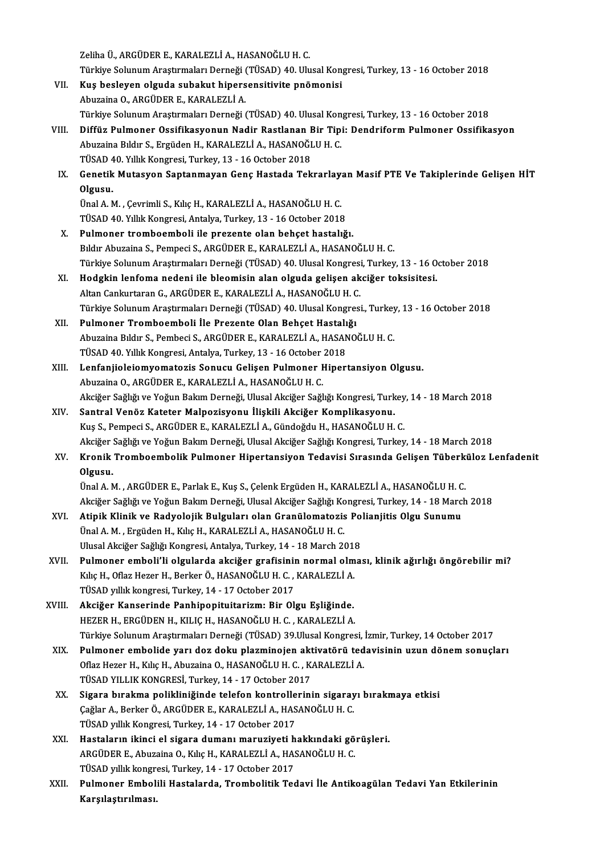ZelihaÜ.,ARGÜDERE.,KARALEZLİA.,HASANOĞLUH.C.

Zeliha Ü., ARGÜDER E., KARALEZLİ A., HASANOĞLU H. C.<br>Türkiye Solunum Araştırmaları Derneği (TÜSAD) 40. Ulusal Kongresi, Turkey, 13 - 16 October 2018<br>Kus beslaven elavde subalut binensensitivite prömenisi

- VII. Kuş besleyen olguda subakut hipersensitivite pnömonisi<br>Abuzaina O., ARGÜDER E., KARALEZLİ A. Türkiye Solunum Araştırmaları Derneği (<br><mark>Kuş besleyen olguda subakut hipers</mark><br>Abuzaina O., ARGÜDER E., KARALEZLİ A.<br>Türkiye Solunum Arastırmaları Derneği ( Türkiye SolunumAraştırmalarıDerneği (TÜSAD) 40.UlusalKongresi,Turkey,13 -16October 2018 Abuzaina O., ARGÜDER E., KARALEZLİ A.<br>Türkiye Solunum Araştırmaları Derneği (TÜSAD) 40. Ulusal Kongresi, Turkey, 13 - 16 October 2018<br>VIII. Diffüz Pulmoner Ossifikasyonun Nadir Rastlanan Bir Tipi: Dendriform Pulmoner Ossif
- Türkiye Solunum Araştırmaları Derneği (TÜSAD) 40. Ulusal Kon<br>Diffüz Pulmoner Ossifikasyonun Nadir Rastlanan Bir Tipi<br>Abuzaina Bıldır S., Ergüden H., KARALEZLİ A., HASANOĞLU H. C.<br>TÜSAD 40 Yıllık Kongresi Turkey 13 16 Ost Diffüz Pulmoner Ossifikasyonun Nadir Rastlanan I<br>Abuzaina Bıldır S., Ergüden H., KARALEZLİ A., HASANOĞI<br>TÜSAD 40. Yıllık Kongresi, Turkey, 13 - 16 October 2018<br>Conatik Mutasyon Santanmayan Cona Hastada Tek Abuzaina Bıldır S., Ergüden H., KARALEZLİ A., HASANOĞLU H. C.<br>TÜSAD 40. Yıllık Kongresi, Turkey, 13 - 16 October 2018<br>IX. Genetik Mutasyon Saptanmayan Genç Hastada Tekrarlayan Masif PTE Ve Takiplerinde Gelişen HİT<br>Olay
- TÜSAD 4<br>Genetik<br>Olgusu.<br>Ürel 4 M Genetik Mutasyon Saptanmayan Genç Hastada Tekrarlay.<br>Olgusu.<br>Ünal A. M. , Çevrimli S., Kılıç H., KARALEZLİ A., HASANOĞLU H. C.<br>TÜSAD 40 .Vıllık Kongresi, Antalya Turkey, 13 . 16 Ostaber 2019

Olgusu.<br>Ünal A. M. , Çevrimli S., Kılıç H., KARALEZLİ A., HASANOĞLU H. C.<br>TÜSAD 40. Yıllık Kongresi, Antalya, Turkey, 13 - 16 October 2018

- X. Pulmoner tromboemboli ile prezente olan behçet hastalığı. Bıldır Abuzaina S., Pempeci S., ARGÜDER E., KARALEZLİ A., HASANOĞLU H. C. Pulmoner tromboemboli ile prezente olan behçet hastalığı.<br>Bıldır Abuzaina S., Pempeci S., ARGÜDER E., KARALEZLİ A., HASANOĞLU H. C.<br>Türkiye Solunum Araştırmaları Derneği (TÜSAD) 40. Ulusal Kongresi, Turkey, 13 - 16 October Bıldır Abuzaina S., Pempeci S., ARGÜDER E., KARALEZLİ A., HASANOĞLU H. C.<br>Türkiye Solunum Araştırmaları Derneği (TÜSAD) 40. Ulusal Kongresi, Turkey, 13 - 16 0<br>XI. Hodgkin lenfoma nedeni ile bleomisin alan olguda gelişen ak
- Türkiye Solunum Araştırmaları Derneği (TÜSAD) 40. Ulusal Kongresi<br>H<mark>odgkin lenfoma nedeni ile bleomisin alan olguda gelişen ak</mark><br>Altan Cankurtaran G., ARGÜDER E., KARALEZLİ A., HASANOĞLU H. C.<br>Türkiye Solunum Arastırmaları XI. Hodgkin lenfoma nedeni ile bleomisin alan olguda gelişen akciğer toksisitesi.<br>Altan Cankurtaran G., ARGÜDER E., KARALEZLİ A., HASANOĞLU H. C.<br>Türkiye Solunum Araştırmaları Derneği (TÜSAD) 40. Ulusal Kongresi., Turkey,
- XII. Pulmoner Tromboemboli İle Prezente Olan Behçet Hastalığı Türkiye Solunum Araştırmaları Derneği (TÜSAD) 40. Ulusal Kongresi., Turkey<br>Pulmoner Tromboemboli İle Prezente Olan Behçet Hastalığı<br>Abuzaina Bıldır S., Pembeci S., ARGÜDER E., KARALEZLİ A., HASANOĞLU H. C.<br>TÜSAD 40. Vilik Pulmoner Tromboemboli İle Prezente Olan Behçet Hastalı<br>Abuzaina Bıldır S., Pembeci S., ARGÜDER E., KARALEZLİ A., HASAN<br>TÜSAD 40. Yıllık Kongresi, Antalya, Turkey, 13 - 16 October 2018<br>Lanfanijalajamuamataris Sanusu Galisan Abuzaina Bıldır S., Pembeci S., ARGÜDER E., KARALEZLİ A., HASANOĞLU H. C.<br>TÜSAD 40. Yıllık Kongresi, Antalya, Turkey, 13 - 16 October 2018<br>XIII. Lenfanjioleiomyomatozis Sonucu Gelişen Pulmoner Hipertansiyon Olgusu.<br>Abuzain
- TÜSAD 40. Yıllık Kongresi, Antalya, Turkey, 13 16 October 2018<br>Lenfanjioleiomyomatozis Sonucu Gelişen Pulmoner Hipertansiyon Olgusu.<br>Abuzaina O., ARGÜDER E., KARALEZLİ A., HASANOĞLU H. C. Lenfanjioleiomyomatozis Sonucu Gelişen Pulmoner Hipertansiyon Olgusu.<br>Abuzaina O., ARGÜDER E., KARALEZLİ A., HASANOĞLU H. C.<br>Akciğer Sağlığı ve Yoğun Bakım Derneği, Ulusal Akciğer Sağlığı Kongresi, Turkey, 14 - 18 March 20 Abuzaina O., ARGÜDER E., KARALEZLİ A., HASANOĞLU H. C.<br>Akciğer Sağlığı ve Yoğun Bakım Derneği, Ulusal Akciğer Sağlığı Kongresi, Turk<br>XIV. Santral Venöz Kateter Malpozisyonu İlişkili Akciğer Komplikasyonu.<br>Kus S. Pernegi S.
- Akciğer Sağlığı ve Yoğun Bakım Derneği, Ulusal Akciğer Sağlığı Kongresi, Turkey<br>Santral Venöz Kateter Malpozisyonu İlişkili Akciğer Komplikasyonu.<br>Kuş S., Pempeci S., ARGÜDER E., KARALEZLİ A., Gündoğdu H., HASANOĞLU H. C.<br> Santral Venöz Kateter Malpozisyonu İlişkili Akciğer Komplikasyonu.<br>Kuş S., Pempeci S., ARGÜDER E., KARALEZLİ A., Gündoğdu H., HASANOĞLU H. C.<br>Akciğer Sağlığı ve Yoğun Bakım Derneği, Ulusal Akciğer Sağlığı Kongresi, Turkey,
- Kuş S., Pempeci S., ARGÜDER E., KARALEZLİ A., Gündoğdu H., HASANOĞLU H. C.<br>Akciğer Sağlığı ve Yoğun Bakım Derneği, Ulusal Akciğer Sağlığı Kongresi, Turkey, 14 18 March 2018<br>XV. Kronik Tromboembolik Pulmoner Hipertans Olgusu. Kronik Tromboembolik Pulmoner Hipertansiyon Tedavisi Sırasında Gelişen Tüberk<br>Olgusu.<br>Ünal A. M. , ARGÜDER E., Parlak E., Kuş S., Çelenk Ergüden H., KARALEZLİ A., HASANOĞLU H. C.<br>Aksižer Seğliğus Veğun Balam Derneği, Ulusa

Ünal A. M. , ARGÜDER E., Parlak E., Kuş S., Çelenk Ergüden H., KARALEZLİ A., HASANOĞLU H. C.<br>Akciğer Sağlığı ve Yoğun Bakım Derneği, Ulusal Akciğer Sağlığı Kongresi, Turkey, 14 - 18 March 2018 Ünal A. M. , ARGÜDER E., Parlak E., Kuş S., Çelenk Ergüden H., KARALEZLİ A., HASANOĞLU H. C<br>Akciğer Sağlığı ve Yoğun Bakım Derneği, Ulusal Akciğer Sağlığı Kongresi, Turkey, 14 - 18 Marc<br>XVI. Atipik Klinik ve Radyolojik

- Akciğer Sağlığı ve Yoğun Bakım Derneği, Ulusal Akciğer Sağlığı Ko<br><mark>Atipik Klinik ve Radyolojik Bulguları olan Granülomatozis</mark><br>Ünal A. M. , Ergüden H., Kılıç H., KARALEZLİ A., HASANOĞLU H. C.<br>Ulusal Aksiğar Sağlığı Kongresi Atipik Klinik ve Radyolojik Bulguları olan Granülomatozis Po<br>Ünal A. M. , Ergüden H., Kılıç H., KARALEZLİ A., HASANOĞLU H. C.<br>Ulusal Akciğer Sağlığı Kongresi, Antalya, Turkey, 14 - 18 March 2018<br>Pulmanor ambali'li alaylard Ünal A. M. , Ergüden H., Kılıç H., KARALEZLİ A., HASANOĞLU H. C.<br>Ulusal Akciğer Sağlığı Kongresi, Antalya, Turkey, 14 - 18 March 2018<br>XVII. Pulmoner emboli'li olgularda akciğer grafisinin normal olması, klinik ağırlığı
- Ulusal Akciğer Sağlığı Kongresi, Antalya, Turkey, 14 18 March 2011<br>Pulmoner emboli'li olgularda akciğer grafisinin normal olm<br>Kılıç H., Oflaz Hezer H., Berker Ö., HASANOĞLU H. C. , KARALEZLİ A.<br>TÜSAD vıllık kongresi Turk Pulmoner emboli'li olgularda akciğer grafisini<br>Kılıç H., Oflaz Hezer H., Berker Ö., HASANOĞLU H. C. ,<br>TÜSAD yıllık kongresi, Turkey, 14 - 17 October 2017<br>Aksiğar Kansarinda Banbinonitujtarizmı Bir Ol Kılıç H., Oflaz Hezer H., Berker Ö., HASANOĞLU H. C. , KARALEZLİ A.<br>TÜSAD yıllık kongresi, Turkey, 14 - 17 October 2017<br>XVIII. Akciğer Kanserinde Panhipopituitarizm: Bir Olgu Eşliğinde.<br>UEZER U. ERCÜDEN H. KILIC H. HASANOĞ
- TÜSAD yıllık kongresi, Turkey, 14 17 October 2017<br>Akciğer Kanserinde Panhipopituitarizm: Bir Olgu Eşliğinde.<br>HEZER H., ERGÜDEN H., KILIÇ H., HASANOĞLU H. C. , KARALEZLİ A.<br>Türkiye Solunum Arastırmaları Derneği (TÜSAD) 20 HEZER H., ERGÜDEN H., KILIÇ H., HASANOĞLU H. C. , KARALEZLİ A.<br>Türkiye Solunum Araştırmaları Derneği (TÜSAD) 39.Ulusal Kongresi, İzmir, Turkey, 14 October 2017 HEZER H., ERGÜDEN H., KILIÇ H., HASANOĞLU H. C. , KARALEZLİ A.<br>Türkiye Solunum Araştırmaları Derneği (TÜSAD) 39.Ulusal Kongresi, İzmir, Turkey, 14 October 2017<br>XIX. Pulmoner embolide yarı doz doku plazminojen aktivatörü te
- Türkiye Solunum Araştırmaları Derneği (TÜSAD) 39.Ulusal Kongresi,<br>Pulmoner embolide yarı doz doku plazminojen aktivatörü ted<br>Oflaz Hezer H., Kılıç H., Abuzaina O., HASANOĞLU H. C. , KARALEZLİ A.<br>TÜSAD VILLIK KONCRESİ Turko Pulmoner embolide yarı doz doku plazminojen akt<br>Oflaz Hezer H., Kılıç H., Abuzaina O., HASANOĞLU H. C. , K.<br>TÜSAD YILLIK KONGRESİ, Turkey, 14 - 17 October 2017<br>Sisara bırakma nalikliniğinde telefan kantrallarını Oflaz Hezer H., Kılıç H., Abuzaina O., HASANOĞLU H. C. , KARALEZLİ A.<br>TÜSAD YILLIK KONGRESİ, Turkey, 14 - 17 October 2017<br>XX. Sigara bırakma polikliniğinde telefon kontrollerinin sigarayı bırakmaya etkisi
- TÜSAD YILLIK KONGRESİ, Turkey, 14 17 October 2017<br>Sigara bırakma polikliniğinde telefon kontrollerinin sigaray<br>Çağlar A., Berker Ö., ARGÜDER E., KARALEZLİ A., HASANOĞLU H. C.<br>TÜSAD vilik Kongresi Turkey, 14 17 Ostober Sigara bırakma polikliniğinde telefon kontrolle<br>Çağlar A., Berker Ö., ARGÜDER E., KARALEZLİ A., HAS<br>TÜSAD yıllık Kongresi, Turkey, 14 - 17 October 2017<br>Hastaların ikinsi al sisara dumanı manusiyati b Çağlar A., Berker Ö., ARGÜDER E., KARALEZLİ A., HASANOĞLU H. C.<br>TÜSAD yıllık Kongresi, Turkey, 14 - 17 October 2017<br>XXI. Hastaların ikinci el sigara dumanı maruziyeti hakkındaki görüşleri.<br>ARGÜDER E. Abugaina O. Kılıs
- TÜSAD yıllık Kongresi, Turkey, 14 17 October 2017<br>Hastaların ikinci el sigara dumanı maruziyeti hakkındaki gö<br>ARGÜDER E., Abuzaina O., Kılıç H., KARALEZLİ A., HASANOĞLU H. C.<br>TÜSAD yıllık kongresi Turkey, 14 17 Ostober Hastaların ikinci el sigara dumanı maruziyeti h<br>ARGÜDER E., Abuzaina O., Kılıç H., KARALEZLİ A., HA:<br>TÜSAD yıllık kongresi, Turkey, 14 - 17 October 2017<br>Pulmanar Embalili Hastalarda, Trambalitik Tas TÜSAD yıllık kongresi, Turkey, 14 - 17 October 2017
- ARGÜDER E., Abuzaina O., Kılıç H., KARALEZLİ A., HASANOĞLU H. C.<br>TÜSAD yıllık kongresi, Turkey, 14 17 October 2017<br>XXII. Pulmoner Embolili Hastalarda, Trombolitik Tedavi İle Antikoagülan Tedavi Yan Etkilerinin<br>Karşıl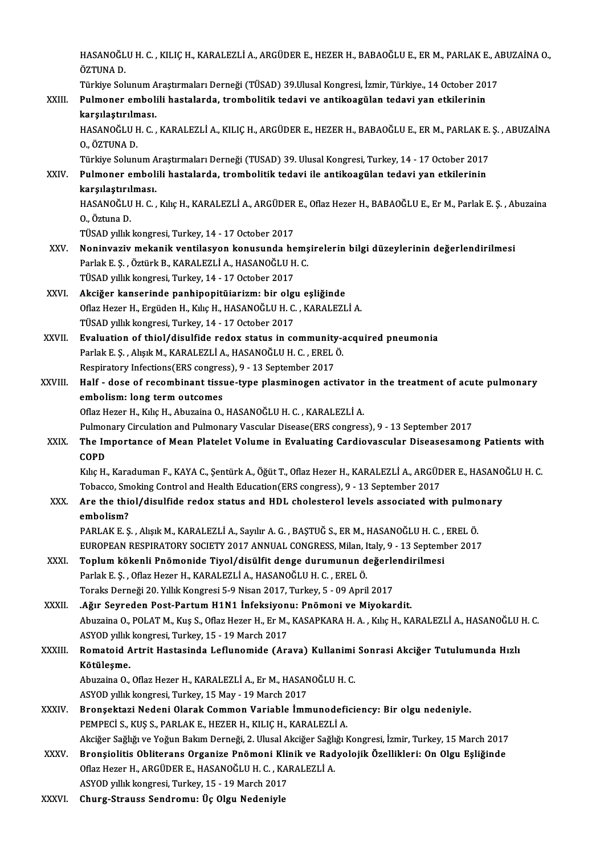|              | HASANOĞLU H. C., KILIÇ H., KARALEZLİ A., ARGÜDER E., HEZER H., BABAOĞLU E., ER M., PARLAK E., ABUZAİNA O.,<br>ÖZTUNA D.                                                                                  |
|--------------|----------------------------------------------------------------------------------------------------------------------------------------------------------------------------------------------------------|
| XXIII.       | Türkiye Solunum Araştırmaları Derneği (TÜSAD) 39.Ulusal Kongresi, İzmir, Türkiye., 14 October 2017<br>Pulmoner embolili hastalarda, trombolitik tedavi ve antikoagülan tedavi yan etkilerinin            |
|              | karşılaştırılması.                                                                                                                                                                                       |
|              | HASANOĞLU H. C., KARALEZLİ A., KILIÇ H., ARGÜDER E., HEZER H., BABAOĞLU E., ER M., PARLAK E. Ş., ABUZAİNA<br>0, ÖZTUNA D.                                                                                |
|              | Türkiye Solunum Araştırmaları Derneği (TUSAD) 39. Ulusal Kongresi, Turkey, 14 - 17 October 2017                                                                                                          |
| XXIV         | Pulmoner embolili hastalarda, trombolitik tedavi ile antikoagülan tedavi yan etkilerinin                                                                                                                 |
|              | karşılaştırılması.<br>HASANOĞLU H. C., Kılıç H., KARALEZLİ A., ARGÜDER E., Oflaz Hezer H., BABAOĞLU E., Er M., Parlak E. Ş., Abuzaina                                                                    |
|              | 0, Öztuna D                                                                                                                                                                                              |
|              | TÜSAD yıllık kongresi, Turkey, 14 - 17 October 2017                                                                                                                                                      |
| XXV.         | Noninvaziv mekanik ventilasyon konusunda hemşirelerin bilgi düzeylerinin değerlendirilmesi                                                                                                               |
|              | Parlak E. Ş., Öztürk B., KARALEZLİ A., HASANOĞLU H. C.                                                                                                                                                   |
|              | TÜSAD yıllık kongresi, Turkey, 14 - 17 October 2017                                                                                                                                                      |
| XXVI.        | Akciğer kanserinde panhipopitüiarizm: bir olgu eşliğinde                                                                                                                                                 |
|              | Oflaz Hezer H., Ergüden H., Kılıç H., HASANOĞLU H. C., KARALEZLİ A.                                                                                                                                      |
| XXVII.       | TÜSAD yıllık kongresi, Turkey, 14 - 17 October 2017<br>Evaluation of thiol/disulfide redox status in community-acquired pneumonia                                                                        |
|              | Parlak E. Ș., Alışık M., KARALEZLİ A., HASANOĞLU H. C., EREL Ö.                                                                                                                                          |
|              | Respiratory Infections(ERS congress), 9 - 13 September 2017                                                                                                                                              |
| XXVIII.      | Half - dose of recombinant tissue-type plasminogen activator in the treatment of acute pulmonary                                                                                                         |
|              | embolism: long term outcomes                                                                                                                                                                             |
|              | Oflaz Hezer H., Kılıç H., Abuzaina O., HASANOĞLU H. C., KARALEZLİ A.                                                                                                                                     |
|              | Pulmonary Circulation and Pulmonary Vascular Disease(ERS congress), 9 - 13 September 2017                                                                                                                |
| XXIX.        | The Importance of Mean Platelet Volume in Evaluating Cardiovascular Diseasesamong Patients with<br><b>COPD</b>                                                                                           |
|              | Kılıç H., Karaduman F., KAYA C., Şentürk A., Öğüt T., Oflaz Hezer H., KARALEZLİ A., ARGÜDER E., HASANOĞLU H. C                                                                                           |
|              | Tobacco, Smoking Control and Health Education (ERS congress), 9 - 13 September 2017                                                                                                                      |
| XXX.         | Are the thiol/disulfide redox status and HDL cholesterol levels associated with pulmonary<br>embolism?                                                                                                   |
|              | PARLAK E. Ş., Alışık M., KARALEZLİ A., Sayılır A. G., BAŞTUĞ S., ER M., HASANOĞLU H. C., EREL Ö.                                                                                                         |
|              | EUROPEAN RESPIRATORY SOCIETY 2017 ANNUAL CONGRESS, Milan, Italy, 9 - 13 September 2017                                                                                                                   |
| XXXI.        | Toplum kökenli Pnömonide Tiyol/disülfit denge durumunun değerlendirilmesi<br>Parlak E. Ș., Oflaz Hezer H., KARALEZLİ A., HASANOĞLU H. C., EREL Ö.                                                        |
|              | Toraks Derneği 20. Yıllık Kongresi 5-9 Nisan 2017, Turkey, 5 - 09 April 2017                                                                                                                             |
| XXXII.       | .Ağır Seyreden Post-Partum H1N1 İnfeksiyonu: Pnömoni ve Miyokardit.                                                                                                                                      |
|              | Abuzaina O., POLAT M., Kuş S., Oflaz Hezer H., Er M., KASAPKARA H. A., Kılıç H., KARALEZLİ A., HASANOĞLU H. C.<br>ASYOD yıllık kongresi, Turkey, 15 - 19 March 2017                                      |
| XXXIII.      | Romatoid Artrit Hastasinda Leflunomide (Arava) Kullanimi Sonrasi Akciğer Tutulumunda Hızlı<br>Kötüleşme.                                                                                                 |
|              | Abuzaina O., Oflaz Hezer H., KARALEZLİ A., Er M., HASANOĞLU H. C.                                                                                                                                        |
|              | ASYOD yıllık kongresi, Turkey, 15 May - 19 March 2017                                                                                                                                                    |
| <b>XXXIV</b> | Bronşektazi Nedeni Olarak Common Variable İmmunodeficiency: Bir olgu nedeniyle.                                                                                                                          |
|              | PEMPECI S., KUŞ S., PARLAK E., HEZER H., KILIÇ H., KARALEZLİ A.                                                                                                                                          |
| XXXV.        | Akciğer Sağlığı ve Yoğun Bakım Derneği, 2. Ulusal Akciğer Sağlığı Kongresi, İzmir, Turkey, 15 March 2017<br>Bronşiolitis Obliterans Organize Pnömoni Klinik ve Radyolojik Özellikleri: On Olgu Eşliğinde |
|              | Oflaz Hezer H., ARGÜDER E., HASANOĞLU H. C., KARALEZLİ A.                                                                                                                                                |
|              | ASYOD yıllık kongresi, Turkey, 15 - 19 March 2017                                                                                                                                                        |
| XXXVI.       | Churg-Strauss Sendromu: Üç Olgu Nedeniyle                                                                                                                                                                |
|              |                                                                                                                                                                                                          |